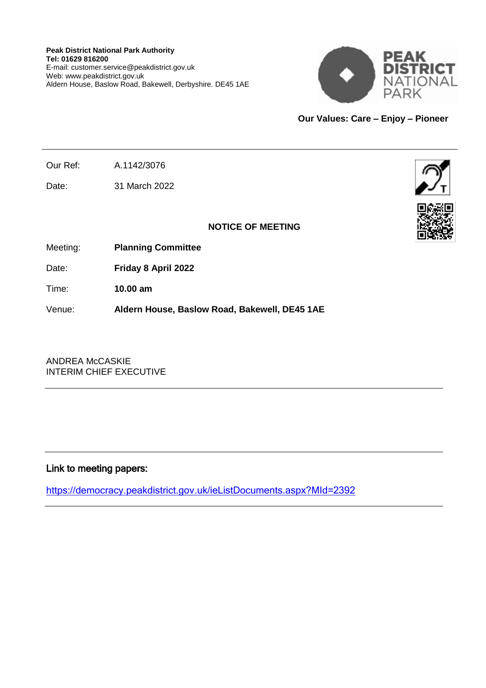

**Our Values: Care – Enjoy – Pioneer**

Our Ref: A.1142/3076

Date: 31 March 2022



# **NOTICE OF MEETING**

Meeting: **Planning Committee**

Date: **Friday 8 April 2022**

Time: **10.00 am**

Venue: **Aldern House, Baslow Road, Bakewell, DE45 1AE**

ANDREA McCASKIE INTERIM CHIEF EXECUTIVE

# Link to meeting papers:

<https://democracy.peakdistrict.gov.uk/ieListDocuments.aspx?MId=2392>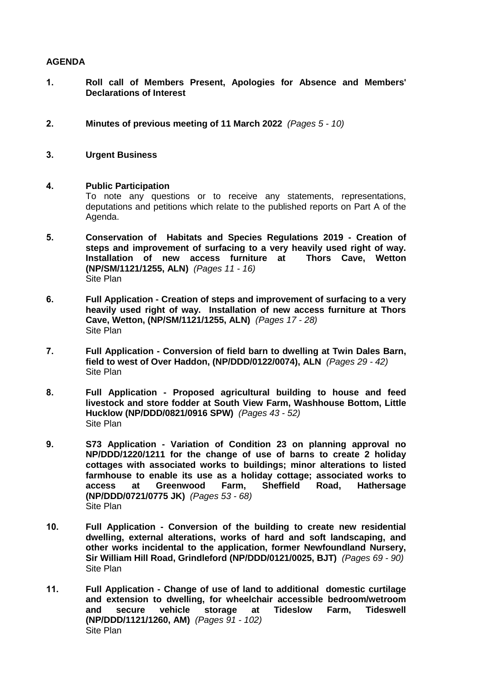### **AGENDA**

- **1. Roll call of Members Present, Apologies for Absence and Members' Declarations of Interest**
- **2. Minutes of previous meeting of 11 March 2022** *(Pages 5 - 10)*
- **3. Urgent Business**

### **4. Public Participation**

To note any questions or to receive any statements, representations, deputations and petitions which relate to the published reports on Part A of the Agenda.

- **5. Conservation of Habitats and Species Regulations 2019 - Creation of steps and improvement of surfacing to a very heavily used right of way. Installation of new access furniture at Thors Cave, Wetton (NP/SM/1121/1255, ALN)** *(Pages 11 - 16)* Site Plan
- **6. Full Application - Creation of steps and improvement of surfacing to a very heavily used right of way. Installation of new access furniture at Thors Cave, Wetton, (NP/SM/1121/1255, ALN)** *(Pages 17 - 28)* Site Plan
- **7. Full Application - Conversion of field barn to dwelling at Twin Dales Barn, field to west of Over Haddon, (NP/DDD/0122/0074), ALN** *(Pages 29 - 42)* Site Plan
- **8. Full Application - Proposed agricultural building to house and feed livestock and store fodder at South View Farm, Washhouse Bottom, Little Hucklow (NP/DDD/0821/0916 SPW)** *(Pages 43 - 52)* Site Plan
- **9. S73 Application - Variation of Condition 23 on planning approval no NP/DDD/1220/1211 for the change of use of barns to create 2 holiday cottages with associated works to buildings; minor alterations to listed farmhouse to enable its use as a holiday cottage; associated works to access at Greenwood Farm, Sheffield Road, Hathersage (NP/DDD/0721/0775 JK)** *(Pages 53 - 68)* Site Plan
- **10. Full Application - Conversion of the building to create new residential dwelling, external alterations, works of hard and soft landscaping, and other works incidental to the application, former Newfoundland Nursery, Sir William Hill Road, Grindleford (NP/DDD/0121/0025, BJT)** *(Pages 69 - 90)* Site Plan
- **11. Full Application - Change of use of land to additional domestic curtilage and extension to dwelling, for wheelchair accessible bedroom/wetroom and secure vehicle storage at Tideslow Farm, Tideswell (NP/DDD/1121/1260, AM)** *(Pages 91 - 102)* Site Plan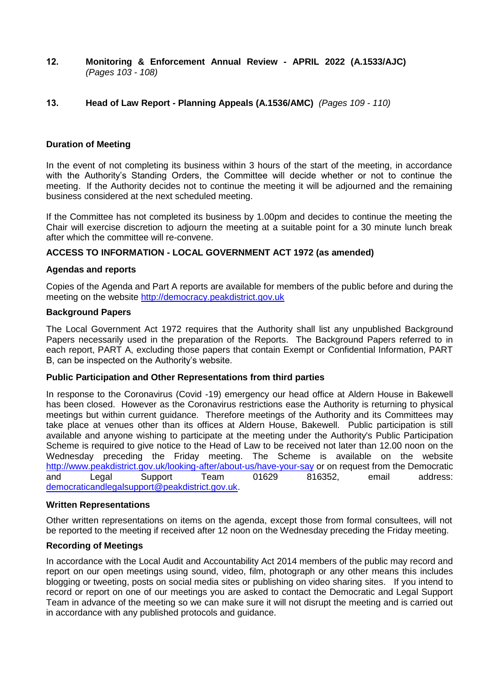**12. Monitoring & Enforcement Annual Review - APRIL 2022 (A.1533/AJC)** *(Pages 103 - 108)*

## **13. Head of Law Report - Planning Appeals (A.1536/AMC)** *(Pages 109 - 110)*

### **Duration of Meeting**

In the event of not completing its business within 3 hours of the start of the meeting, in accordance with the Authority's Standing Orders, the Committee will decide whether or not to continue the meeting. If the Authority decides not to continue the meeting it will be adjourned and the remaining business considered at the next scheduled meeting.

If the Committee has not completed its business by 1.00pm and decides to continue the meeting the Chair will exercise discretion to adjourn the meeting at a suitable point for a 30 minute lunch break after which the committee will re-convene.

### **ACCESS TO INFORMATION - LOCAL GOVERNMENT ACT 1972 (as amended)**

#### **Agendas and reports**

Copies of the Agenda and Part A reports are available for members of the public before and during the meeting on the website [http://democracy.peakdistrict.gov.uk](http://democracy.peakdistrict.gov.uk/)

#### **Background Papers**

The Local Government Act 1972 requires that the Authority shall list any unpublished Background Papers necessarily used in the preparation of the Reports. The Background Papers referred to in each report, PART A, excluding those papers that contain Exempt or Confidential Information, PART B, can be inspected on the Authority's website.

#### **Public Participation and Other Representations from third parties**

In response to the Coronavirus (Covid -19) emergency our head office at Aldern House in Bakewell has been closed. However as the Coronavirus restrictions ease the Authority is returning to physical meetings but within current guidance. Therefore meetings of the Authority and its Committees may take place at venues other than its offices at Aldern House, Bakewell. Public participation is still available and anyone wishing to participate at the meeting under the Authority's Public Participation Scheme is required to give notice to the Head of Law to be received not later than 12.00 noon on the Wednesday preceding the Friday meeting. The Scheme is available on the website <http://www.peakdistrict.gov.uk/looking-after/about-us/have-your-say> or on request from the Democratic and Legal Support Team 01629 816352, email address: [democraticandlegalsupport@peakdistrict.gov.uk.](mailto:democraticandlegalsupport@peakdistrict.gov.uk)

#### **Written Representations**

Other written representations on items on the agenda, except those from formal consultees, will not be reported to the meeting if received after 12 noon on the Wednesday preceding the Friday meeting.

#### **Recording of Meetings**

In accordance with the Local Audit and Accountability Act 2014 members of the public may record and report on our open meetings using sound, video, film, photograph or any other means this includes blogging or tweeting, posts on social media sites or publishing on video sharing sites. If you intend to record or report on one of our meetings you are asked to contact the Democratic and Legal Support Team in advance of the meeting so we can make sure it will not disrupt the meeting and is carried out in accordance with any published protocols and guidance.